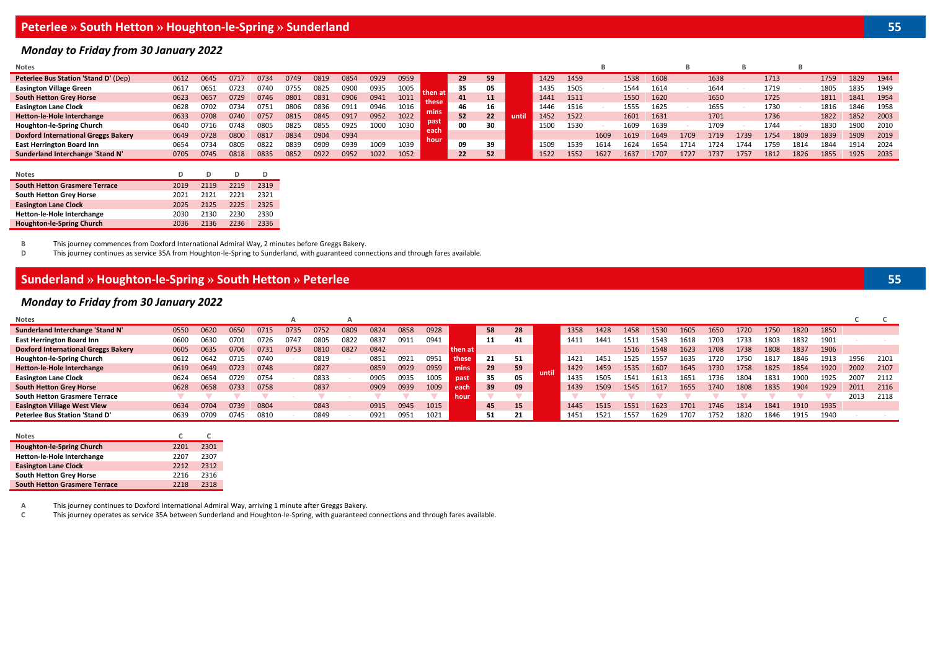# **Peterlee » South Hetton » Houghton-le-Spring » Sunderland 55**

#### *Monday to Friday from 30 January 2022*

| Notes                                       |      |      |      |      |      |      |      |      |      |      |    |              |      |      |      |      |      |      |      |      |      |      |      |      |      |      |
|---------------------------------------------|------|------|------|------|------|------|------|------|------|------|----|--------------|------|------|------|------|------|------|------|------|------|------|------|------|------|------|
| <b>Peterlee Bus Station 'Stand D' (Dep)</b> | 0612 | 0645 | 0717 | 0734 | 0749 | 0819 | 0854 | 0929 | 0959 |      | 29 | 59           |      | 1429 | 1459 |      | 1538 | 1608 |      | 1638 |      | 1713 |      | 1759 | 1829 | 1944 |
| <b>Easington Village Green</b>              | 0617 | 065  |      | 1740 | 0755 | 0825 | 090ı | 0935 | 1005 |      | 35 |              |      | 1435 | 1505 |      | 1544 | 1614 |      | 1644 |      | 1719 |      | 1805 | 1835 | 1949 |
| <b>South Hetton Grey Horse</b>              | 0623 | 0657 | 0729 | 0746 | 0801 | 083  | 0906 | 0941 | 1011 |      | 41 |              |      | 1441 | 1511 |      | 1550 | 1620 |      | 1650 |      | 1725 |      | 1811 | 1841 | 1954 |
| <b>Easington Lane Clock</b>                 | 0628 | 0702 | 0734 | 0751 | 0806 | 0836 | 091: | 0946 | 1016 |      | 46 | 16           |      | 1446 | 1516 |      | 1555 | 1625 |      | 1655 |      | 1730 |      | 1816 | 1846 | 1958 |
| Hetton-le-Hole Interchange                  | 0633 | 0708 |      | 0757 | 0815 | 0845 | 091  | 0952 | 1022 |      | 52 | $22^{\circ}$ | unti | 1452 | 1522 |      | 1601 | 1631 |      | 1701 |      | 1736 |      | 1822 | 1852 | 2003 |
| Houghton-le-Spring Church                   | 0640 | 0716 | 0748 | 0805 | 0825 | 085. | 0925 | 1000 | 1030 |      | 00 | 30           |      | 1500 | 1530 |      | 1609 | 1639 |      | 1709 |      | 1744 |      | 183  | 1900 | 2010 |
| <b>Doxford International Greggs Bakery</b>  | 0649 | 0728 | 0800 | 0817 | 0834 | 0904 | 0934 |      |      |      |    |              |      |      |      | 1609 | 1619 | 1649 | 1709 | 1719 | 1739 | 1754 | 1809 | 1839 | 1909 | 2019 |
| <b>East Herrington Board Inn</b>            | 0654 | 373  | 0805 | 0822 | 0839 | 0909 | 0939 | 1009 | 1039 | hour | 09 | 39           |      | 1509 | 1539 | 1614 | 624  | 1654 | 1714 | 1724 | 1744 | 759  | 1814 | 1844 | 1914 | 2024 |
| Sunderland Interchange 'Stand N'            | 0705 | 0745 | 0818 | 0835 | 0852 | 0922 | 0952 | 1022 | 1052 |      | 22 | 52           |      | 1522 | 1552 | 162  | 1637 | 1707 | 1727 | 1737 | 1757 | 1812 | 1826 | 1855 | 1925 | 2035 |

| <b>Notes</b>                         | D    | D    | D    | D    |
|--------------------------------------|------|------|------|------|
| <b>South Hetton Grasmere Terrace</b> | 2019 | 2119 | 2219 | 2319 |
| <b>South Hetton Grey Horse</b>       | 2021 | 2121 | 2221 | 2321 |
| <b>Easington Lane Clock</b>          | 2025 | 2125 | 2225 | 2325 |
| Hetton-le-Hole Interchange           | 2030 | 2130 | 2230 | 2330 |
| <b>Houghton-le-Spring Church</b>     | 2036 | 2136 | 2236 | 2336 |

**B** This journey commences from Doxford International Admiral Way, 2 minutes before Greggs Bakery.

This journey continues as service 35A from Houghton-le-Spring to Sunderland, with guaranteed connections and through fares available.

## **Sunderland » Houghton-le-Spring » South Hetton » Peterlee 55**

## *Monday to Friday from 30 January 2022*

| Notes                                      |      |      |      |      | A    |      |      |      |      |      |         |    |    |       |      |      |      |       |      |      |      |      |      |      |      |      |
|--------------------------------------------|------|------|------|------|------|------|------|------|------|------|---------|----|----|-------|------|------|------|-------|------|------|------|------|------|------|------|------|
| Sunderland Interchange 'Stand N'           | 0550 | 0620 | 0650 | 0715 | 0735 | 075  | 0809 | 0824 | 0858 | 0928 |         | 58 | 28 |       | 1358 | 1428 | 1458 | 1530  | 1605 | 1650 | 1720 | 1750 | 1820 | 1850 |      |      |
| <b>East Herrington Board Inn</b>           | 0600 | 0630 | 0701 | 0726 | 0747 | 0805 | 0822 | 083. | 0911 | 0941 |         | 11 | 41 |       | 1411 | 1441 | L511 | 1543ء | 161۵ | 703ء | 1733 | 1803 | 1832 | 1901 |      |      |
| <b>Doxford International Greggs Bakery</b> | 0605 | 0635 | 0706 | 0731 | 0753 | 0810 | 0827 | 0842 |      |      | then at |    |    |       |      |      | 1516 | 1548  | 1623 | 1708 | 1738 | 1808 | 1837 | 1906 |      |      |
| Houghton-le-Spring Church                  | 0612 | 064  | 0715 | 0740 |      | 0819 |      | 0851 | 0921 | 0951 | these   | 21 | 51 |       | 1421 | 1451 | 1525 | 1557  | 1635 | L720 | 1750 | .817 | 1846 | 1913 | 1956 | 2101 |
| <b>Hetton-le-Hole Interchange</b>          | 0619 | 0649 | 0723 | 0748 |      | 0827 |      | 0859 | 0929 | 0959 | mins    | 29 | 59 | until | 1429 | 1459 | 1535 | 1607  | 1645 | 1730 | 1758 | 1825 | 1854 | 1920 | 2002 | 2107 |
| <b>Easington Lane Clock</b>                | 0624 | 0654 | 0729 | 0754 |      | 0833 |      | 0905 | 0935 | 1005 | past    | 35 | 05 |       | 1435 | 1505 | 1541 | 1613  | 165. | L736 | 1804 | 183. | 190C | 1925 | 2007 | 2112 |
| <b>South Hetton Grey Horse</b>             | 0628 | 0658 | 0733 | 0758 |      | 0837 |      | 0909 | 0939 | 1009 | each    | 39 | 09 |       | 1439 | 1509 | 1545 | 1617  | 1655 | 1740 | 1808 | 1835 | 1904 | 1929 | 2011 | 2116 |
| <b>South Hetton Grasmere Terrace</b>       |      |      |      |      |      |      |      |      |      |      | hour    |    |    |       |      |      |      |       |      |      |      |      |      |      | 2013 | 2118 |
| <b>Easington Village West View</b>         | 0634 | 0704 | 0739 | 0804 |      | 0843 |      | 0915 | 0945 | 1015 |         | 45 | 15 |       | 1445 | 1515 | 1551 | 1623  | 1701 | 1746 | 1814 | 1841 | 1910 | 1935 |      |      |
| Peterlee Bus Station 'Stand D'             | 0639 | 0709 | 0745 | 0810 |      | 0849 |      | 0921 | 0951 | 1021 |         | 51 |    |       | 1451 | 1521 | 1557 | 1629  |      | 1752 | 1820 | 1846 | 1915 | 1940 |      |      |
|                                            |      |      |      |      |      |      |      |      |      |      |         |    |    |       |      |      |      |       |      |      |      |      |      |      |      |      |
| Notes                                      |      |      |      |      |      |      |      |      |      |      |         |    |    |       |      |      |      |       |      |      |      |      |      |      |      |      |

| 1.91.1.1.3                           |      |      |
|--------------------------------------|------|------|
| <b>Houghton-le-Spring Church</b>     | 2201 | 2301 |
| Hetton-le-Hole Interchange           | 2207 | 2307 |
| <b>Easington Lane Clock</b>          | 2212 | 2312 |
| South Hetton Grey Horse              | 2216 | 2316 |
| <b>South Hetton Grasmere Terrace</b> | 2218 | 2318 |

**A** This journey continues to Doxford International Admiral Way, arriving 1 minute after Greggs Bakery.

**C** This journey operates as service 35A between Sunderland and Houghton-le-Spring, with guaranteed connections and through fares available.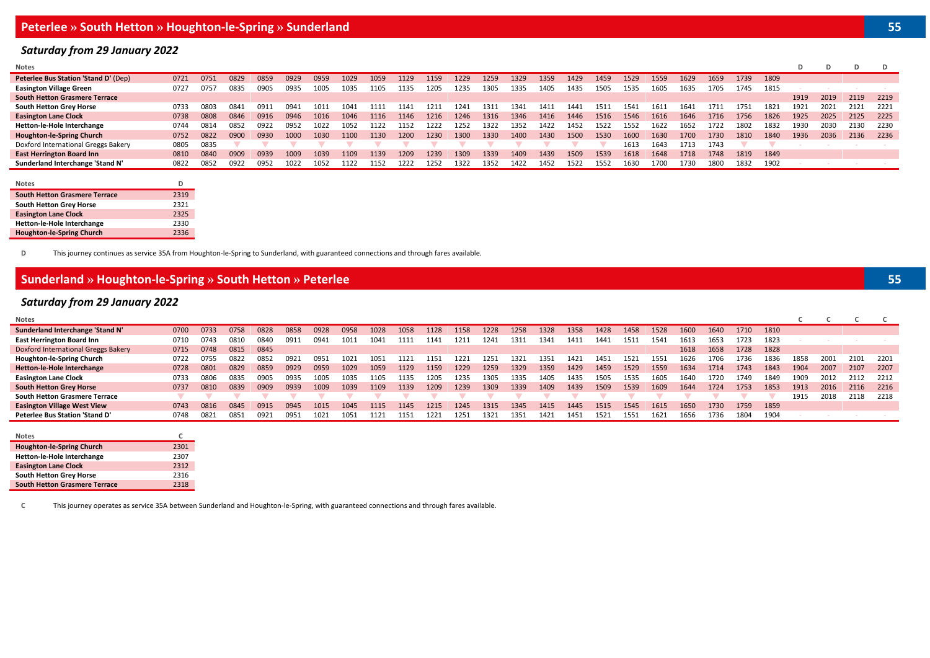## *Saturday from 29 January 2022*

| <b>Notes</b>                                |      |      |      |      |      |      |      |      |      |      |      |      |      |      |      |      |      |      |      |      |      |      | D    |      |      |       |
|---------------------------------------------|------|------|------|------|------|------|------|------|------|------|------|------|------|------|------|------|------|------|------|------|------|------|------|------|------|-------|
| <b>Peterlee Bus Station 'Stand D' (Dep)</b> | 0721 | 0751 | 0829 | 0859 | 0929 | 0959 | 1029 | 1059 | 1129 | 1159 | 1229 | 1259 | 1329 | 1359 | 1429 | 1459 | 1529 | 1559 | 1629 | 1659 | 1739 | 1809 |      |      |      |       |
| <b>Easington Village Green</b>              | 0727 | 0757 | 0835 | 0905 | 0935 | 1005 | 1035 | 1105 | 1135 | 1205 | 1235 | 1305 | 1335 | 1405 | 1435 | 1505 | 1535 | 1605 | 1635 | 1705 | 1745 | 1815 |      |      |      |       |
| <b>South Hetton Grasmere Terrace</b>        |      |      |      |      |      |      |      |      |      |      |      |      |      |      |      |      |      |      |      |      |      |      | 1919 | 2019 | 2119 | 2219  |
| <b>South Hetton Grey Horse</b>              | 0733 | 0803 | 0841 | 0911 | 0941 | 1011 | 1041 | 111  | 1141 | 1211 | 1241 | 1311 | 1341 | 1411 | 1441 |      | 1541 | 1611 | 1641 | 1711 | 1751 | 1821 | 1921 | 2021 | 2121 | 2221  |
| <b>Easington Lane Clock</b>                 | 0738 | 0808 | 0846 | 0916 | 0946 | 1016 | 1046 | 1116 | 1146 | 1216 | 1246 | 1316 | 1346 | 1416 | 1446 | 1516 | 1546 | 1616 | 1646 | 1716 | 1756 | 1826 | 1925 | 2025 | 2125 | 2225  |
| Hetton-le-Hole Interchange                  | 0744 | 0814 | 0852 | 0922 | 0952 | 1022 | 1052 | 1122 | 1152 | 1222 | 1252 | 1322 | 1352 | 1422 | 1452 | 1522 | 1552 | 1622 | 1652 | 1722 | 1802 | 1832 | 1930 | 2030 | 2130 | -2230 |
| <b>Houghton-le-Spring Church</b>            | 0752 | 0822 | 0900 | 0930 | 1000 | 1030 | 1100 | 1130 | 1200 | 1230 | 1300 | 1330 | 1400 | 1430 | 1500 | 1530 | 1600 | 1630 | 1700 | 1730 | 1810 | 1840 | 1936 | 2036 | 2136 | 2236  |
| Doxford International Greggs Bakery         | 0805 | 0835 |      |      |      |      |      |      |      |      |      |      |      |      |      |      | 1613 | 1643 | 1713 | 1743 |      |      |      |      |      |       |
| <b>East Herrington Board Inn</b>            | 0810 | 0840 | 0909 | 0939 | 1009 | 1039 | 1109 | 1139 | 1209 | 1239 | 1309 | 1339 | 1409 | 1439 | 1509 | 1539 | 1618 | 1648 | 1718 | 1748 | 1819 | 1849 |      |      |      |       |
| Sunderland Interchange 'Stand N'            | 0822 | 0852 | 0922 | 0952 | 1022 | 1052 | 1122 | 1152 | 1222 | 1252 | 1322 | 1352 | 1422 | 1452 | 1522 | 1552 | 1630 | 1700 | 730ء | 1800 | 1832 | 1902 |      |      |      |       |

| <b>Notes</b>                         | D    |
|--------------------------------------|------|
| <b>South Hetton Grasmere Terrace</b> | 2319 |
| South Hetton Grey Horse              | 2321 |
| <b>Easington Lane Clock</b>          | 2325 |
| Hetton-le-Hole Interchange           | 2330 |
| Houghton-le-Spring Church            | 2336 |

**D** This journey continues as service 35A from Houghton-le-Spring to Sunderland, with guaranteed connections and through fares available.

## **Sunderland » Houghton-le-Spring » South Hetton » Peterlee 55**

## *Saturday from 29 January 2022*

**South Hetton Grasmere Terrace** 2318

| Notes                               |      |      |      |      |      |      |      |      |      |      |      |      |      |      |      |      |      |      |      |      |      |      |      |      |      |      |
|-------------------------------------|------|------|------|------|------|------|------|------|------|------|------|------|------|------|------|------|------|------|------|------|------|------|------|------|------|------|
| Sunderland Interchange 'Stand N'    | 0700 | 0733 | 0758 | 0828 | 0858 | 0928 | 0958 | 1028 | 1058 | 1128 | 1158 | 1228 | 1258 | 1328 | 1358 | 1428 | 1458 | 1528 | 1600 | 1640 | 1710 | 1810 |      |      |      |      |
| <b>East Herrington Board Inn</b>    | 0710 | 0743 | 0810 | 0840 | 0911 | 0941 | LO11 | 1041 |      | 1141 | 1211 | 1241 | 1311 | 1341 | 1411 | 1441 | 1511 | 1541 | 1613 | 1653 | 1723 | 1823 |      |      |      |      |
| Doxford International Greggs Bakery | 0715 | 0748 | 0815 | 0845 |      |      |      |      |      |      |      |      |      |      |      |      |      |      | 1618 | 1658 | 1728 | 1828 |      |      |      |      |
| Houghton-le-Spring Church           | 0722 | 0755 | 0822 | 0852 | 0921 | 0951 | 1021 | 1051 | L121 | 1151 | 1221 | 1251 | 1321 | 1351 | 1421 | 1451 | 152: | 1551 | 1626 | 1706 | 1736 | 1836 | 1858 | 2001 | 2101 | 2201 |
| Hetton-le-Hole Interchange          | 0728 | 0801 | 0829 | 0859 | 0929 | 0959 | 1029 | 1059 | 1129 | 1159 | 1229 | 1259 | 1329 | 1359 | 1429 | 1459 | 1529 | 1559 | 1634 | 1714 | 1743 | 1843 | 1904 | 2007 | 2107 | 2207 |
| <b>Easington Lane Clock</b>         | 0733 | 0806 | 0835 | 0905 | 0935 | 1005 | LO35 | 1105 | 1135 | 1205 | 1235 | 1305 | 1335 | 1405 | 1435 | 1505 | 1535 | 1605 | 1640 | 1720 | 1749 | 1849 | 1909 | 2012 | 2112 | 2212 |
| <b>South Hetton Grey Horse</b>      | 0737 | 0810 | 0839 | 0909 | 0939 | 1009 | 1039 | 1109 | 1139 | 1209 | 1239 | 1309 | 1339 | 1409 | 1439 | 1509 | 1539 | 1609 | 1644 | 1724 | 1753 | 1853 | 1913 | 2016 | 2116 | 2216 |
| South Hetton Grasmere Terrace       |      |      |      |      |      |      |      |      |      |      |      |      |      |      |      |      |      |      |      |      |      |      | 1915 | 2018 | 2118 | 2218 |
| <b>Easington Village West View</b>  | 0743 | 0816 | 0845 | 0915 | 0945 | 1015 | 1045 | 1115 | 1145 | 1215 | 1245 | 1315 | 1345 | 1415 | 1445 | 1515 | 1545 | 1615 | 1650 | 1730 | 1759 | 1859 |      |      |      |      |
| Peterlee Bus Station 'Stand D'      | 0748 | 0821 | 0851 | 0921 | 0951 | 1021 | 1051 | 1121 | 1151 | 1221 | 1251 | 1321 | 1351 | 1421 | 1451 | 1521 | 1551 | 1621 | 1656 | 1736 | 1804 | 1904 |      |      |      |      |
|                                     |      |      |      |      |      |      |      |      |      |      |      |      |      |      |      |      |      |      |      |      |      |      |      |      |      |      |
| Notes                               |      |      |      |      |      |      |      |      |      |      |      |      |      |      |      |      |      |      |      |      |      |      |      |      |      |      |
| Houghton-le-Spring Church           | 2301 |      |      |      |      |      |      |      |      |      |      |      |      |      |      |      |      |      |      |      |      |      |      |      |      |      |
| Hetton-le-Hole Interchange          | 2307 |      |      |      |      |      |      |      |      |      |      |      |      |      |      |      |      |      |      |      |      |      |      |      |      |      |
| <b>Easington Lane Clock</b>         | 2312 |      |      |      |      |      |      |      |      |      |      |      |      |      |      |      |      |      |      |      |      |      |      |      |      |      |
| <b>South Hetton Grey Horse</b>      | 2316 |      |      |      |      |      |      |      |      |      |      |      |      |      |      |      |      |      |      |      |      |      |      |      |      |      |

**C** This journey operates as service 35A between Sunderland and Houghton-le-Spring, with guaranteed connections and through fares available.